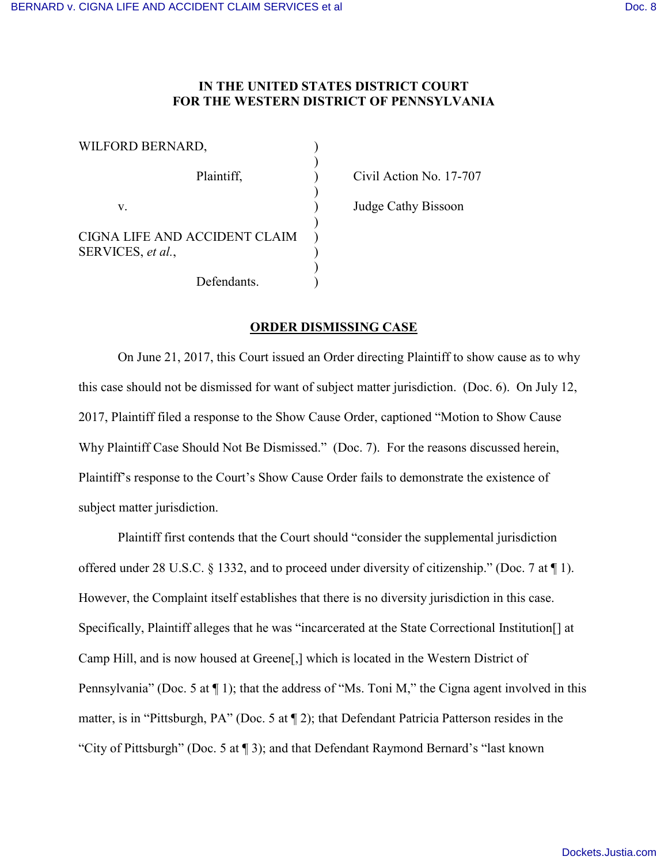## **IN THE UNITED STATES DISTRICT COURT FOR THE WESTERN DISTRICT OF PENNSYLVANIA**

| WILFORD BERNARD,                                   |  |
|----------------------------------------------------|--|
| Plaintiff,                                         |  |
| V.                                                 |  |
| CIGNA LIFE AND ACCIDENT CLAIM<br>SERVICES, et al., |  |
| Defendants.                                        |  |

Civil Action No. 17-707

Judge Cathy Bissoon

## **ORDER DISMISSING CASE**

On June 21, 2017, this Court issued an Order directing Plaintiff to show cause as to why this case should not be dismissed for want of subject matter jurisdiction. (Doc. 6). On July 12, 2017, Plaintiff filed a response to the Show Cause Order, captioned "Motion to Show Cause Why Plaintiff Case Should Not Be Dismissed." (Doc. 7). For the reasons discussed herein, Plaintiff's response to the Court's Show Cause Order fails to demonstrate the existence of subject matter jurisdiction.

Plaintiff first contends that the Court should "consider the supplemental jurisdiction offered under 28 U.S.C. § 1332, and to proceed under diversity of citizenship." (Doc. 7 at ¶ 1). However, the Complaint itself establishes that there is no diversity jurisdiction in this case. Specifically, Plaintiff alleges that he was "incarcerated at the State Correctional Institution[] at Camp Hill, and is now housed at Greene[,] which is located in the Western District of Pennsylvania" (Doc. 5 at  $\P$  1); that the address of "Ms. Toni M," the Cigna agent involved in this matter, is in "Pittsburgh, PA" (Doc. 5 at ¶ 2); that Defendant Patricia Patterson resides in the "City of Pittsburgh" (Doc. 5 at ¶ 3); and that Defendant Raymond Bernard's "last known